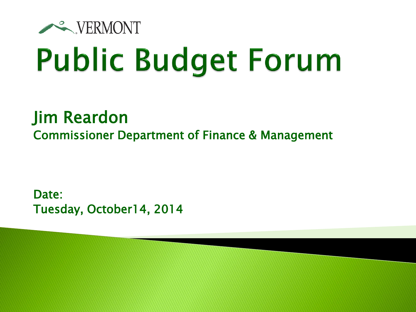

# **Public Budget Forum**

### Jim Reardon Commissioner Department of Finance & Management

Date: Tuesday, October14, 2014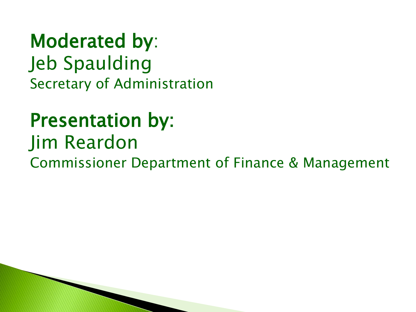Moderated by: Jeb Spaulding Secretary of Administration

### Presentation by: Jim Reardon Commissioner Department of Finance & Management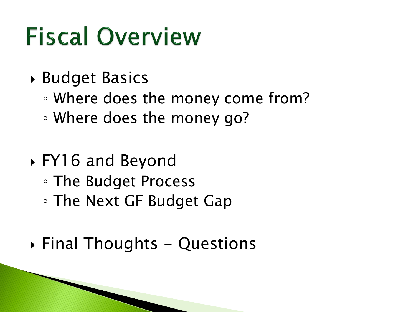## **Fiscal Overview**

- Budget Basics
	- Where does the money come from?
	- Where does the money go?
- FY16 and Beyond ◦ The Budget Process ◦ The Next GF Budget Gap
- $\rightarrow$  Final Thoughts Questions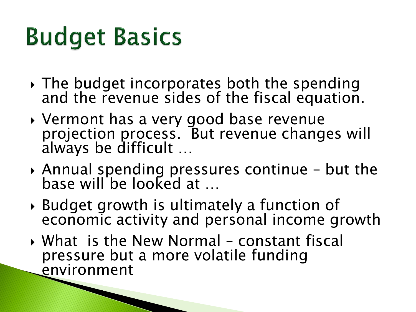## **Budget Basics**

- $\rightarrow$  The budget incorporates both the spending and the revenue sides of the fiscal equation.
- Vermont has a very good base revenue projection process. But revenue changes will always be difficult …
- Annual spending pressures continue but the base will be looked at …
- Budget growth is ultimately a function of economic activity and personal income growth
- What is the New Normal constant fiscal pressure but a more volatile funding environment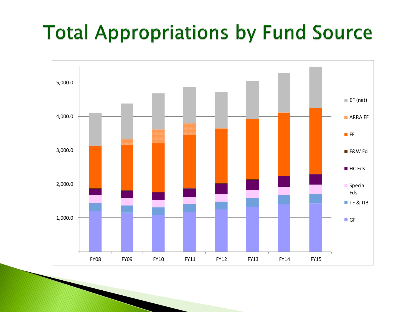### **Total Appropriations by Fund Source**

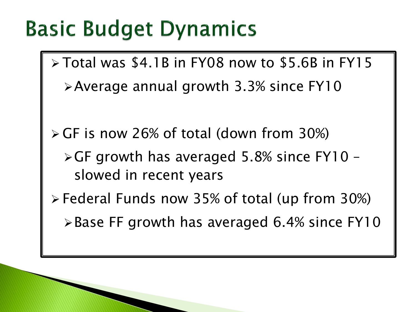### **Basic Budget Dynamics**

- Total was \$4.1B in FY08 now to \$5.6B in FY15 Average annual growth 3.3% since FY10
- GF is now 26% of total (down from 30%)
	- $\triangleright$  GF growth has averaged 5.8% since FY10 slowed in recent years
- Federal Funds now 35% of total (up from 30%)
	- $\triangleright$  Base FF growth has averaged 6.4% since FY10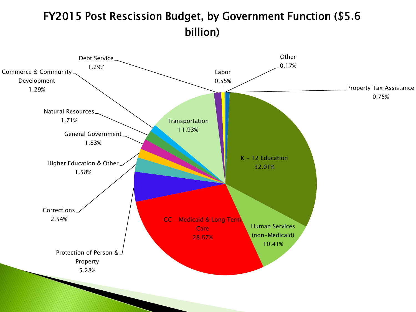#### FY2015 Post Rescission Budget, by Government Function (\$5.6 billion)

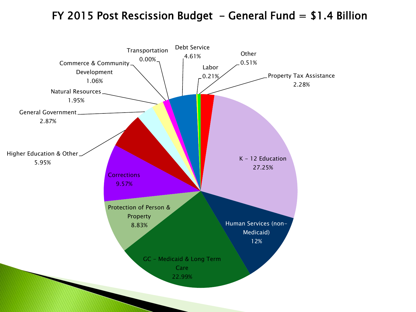#### FY 2015 Post Rescission Budget - General Fund  $= $1.4$  Billion

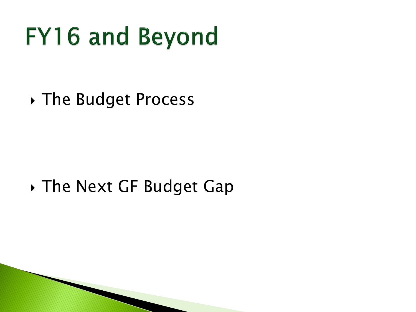### **FY16 and Beyond**

The Budget Process

### ▶ The Next GF Budget Gap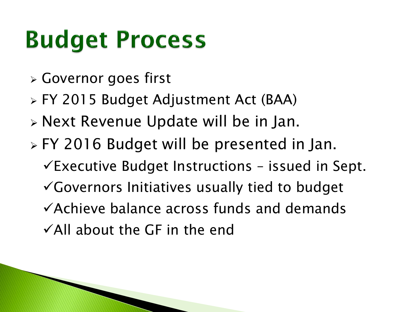## **Budget Process**

- Governor goes first
- FY 2015 Budget Adjustment Act (BAA)
- Next Revenue Update will be in Jan.
- FY 2016 Budget will be presented in Jan.  $\checkmark$ Executive Budget Instructions – issued in Sept. Governors Initiatives usually tied to budget Achieve balance across funds and demands  $\checkmark$  All about the GF in the end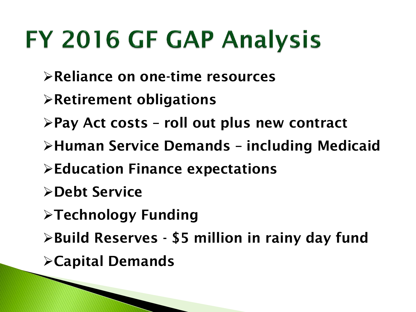## FY 2016 GF GAP Analysis

- **Reliance on one-time resources**
- **Retirement obligations**
- **Pay Act costs – roll out plus new contract**
- **Human Service Demands – including Medicaid**
- **Education Finance expectations**
- **Debt Service**
- **Technology Funding**
- **Build Reserves - \$5 million in rainy day fund**
- **Capital Demands**

**The Common Street, Square, The Common Street, The Common Street, The Common Street, The Common Street, The Common Street, The Common Street, The Common Street, The Common Street, The Common Street, The Common Street, The**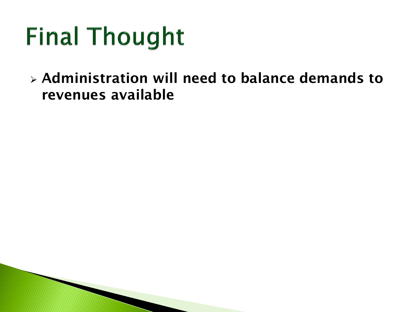## **Final Thought**

 **Administration will need to balance demands to revenues available**